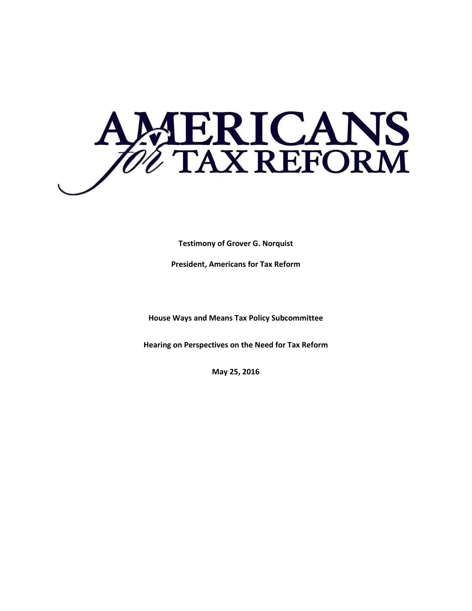

**Testimony of Grover G. Norquist**

**President, Americans for Tax Reform** 

**House Ways and Means Tax Policy Subcommittee** 

**Hearing on Perspectives on the Need for Tax Reform**

**May 25, 2016**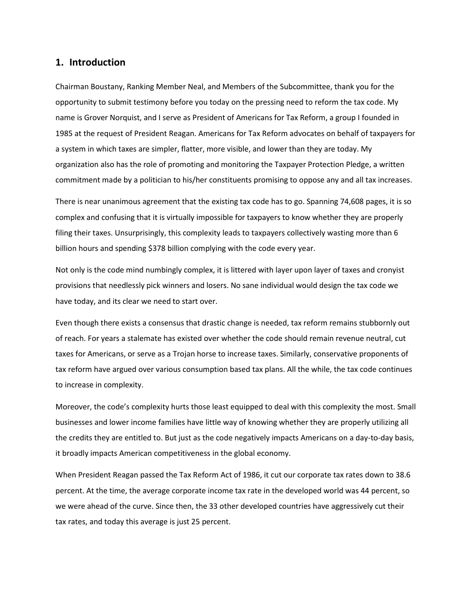## **1. Introduction**

Chairman Boustany, Ranking Member Neal, and Members of the Subcommittee, thank you for the opportunity to submit testimony before you today on the pressing need to reform the tax code. My name is Grover Norquist, and I serve as President of Americans for Tax Reform, a group I founded in 1985 at the request of President Reagan. Americans for Tax Reform advocates on behalf of taxpayers for a system in which taxes are simpler, flatter, more visible, and lower than they are today. My organization also has the role of promoting and monitoring the Taxpayer Protection Pledge, a written commitment made by a politician to his/her constituents promising to oppose any and all tax increases.

There is near unanimous agreement that the existing tax code has to go. Spanning 74,608 pages, it is so complex and confusing that it is virtually impossible for taxpayers to know whether they are properly filing their taxes. Unsurprisingly, this complexity leads to taxpayers collectively wasting more than 6 billion hours and spending \$378 billion complying with the code every year.

Not only is the code mind numbingly complex, it is littered with layer upon layer of taxes and cronyist provisions that needlessly pick winners and losers. No sane individual would design the tax code we have today, and its clear we need to start over.

Even though there exists a consensus that drastic change is needed, tax reform remains stubbornly out of reach. For years a stalemate has existed over whether the code should remain revenue neutral, cut taxes for Americans, or serve as a Trojan horse to increase taxes. Similarly, conservative proponents of tax reform have argued over various consumption based tax plans. All the while, the tax code continues to increase in complexity.

Moreover, the code's complexity hurts those least equipped to deal with this complexity the most. Small businesses and lower income families have little way of knowing whether they are properly utilizing all the credits they are entitled to. But just as the code negatively impacts Americans on a day-to-day basis, it broadly impacts American competitiveness in the global economy.

When President Reagan passed the Tax Reform Act of 1986, it cut our corporate tax rates down to 38.6 percent. At the time, the average corporate income tax rate in the developed world was 44 percent, so we were ahead of the curve. Since then, the 33 other developed countries have aggressively cut their tax rates, and today this average is just 25 percent.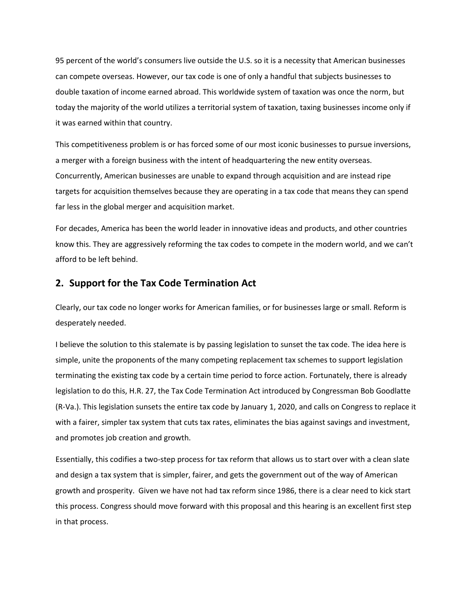95 percent of the world's consumers live outside the U.S. so it is a necessity that American businesses can compete overseas. However, our tax code is one of only a handful that subjects businesses to double taxation of income earned abroad. This worldwide system of taxation was once the norm, but today the majority of the world utilizes a territorial system of taxation, taxing businesses income only if it was earned within that country.

This competitiveness problem is or has forced some of our most iconic businesses to pursue inversions, a merger with a foreign business with the intent of headquartering the new entity overseas. Concurrently, American businesses are unable to expand through acquisition and are instead ripe targets for acquisition themselves because they are operating in a tax code that means they can spend far less in the global merger and acquisition market.

For decades, America has been the world leader in innovative ideas and products, and other countries know this. They are aggressively reforming the tax codes to compete in the modern world, and we can't afford to be left behind.

## **2. Support for the Tax Code Termination Act**

Clearly, our tax code no longer works for American families, or for businesses large or small. Reform is desperately needed.

I believe the solution to this stalemate is by passing legislation to sunset the tax code. The idea here is simple, unite the proponents of the many competing replacement tax schemes to support legislation terminating the existing tax code by a certain time period to force action. Fortunately, there is already legislation to do this, H.R. 27, the Tax Code Termination Act introduced by Congressman Bob Goodlatte (R-Va.). This legislation sunsets the entire tax code by January 1, 2020, and calls on Congress to replace it with a fairer, simpler tax system that cuts tax rates, eliminates the bias against savings and investment, and promotes job creation and growth.

Essentially, this codifies a two-step process for tax reform that allows us to start over with a clean slate and design a tax system that is simpler, fairer, and gets the government out of the way of American growth and prosperity. Given we have not had tax reform since 1986, there is a clear need to kick start this process. Congress should move forward with this proposal and this hearing is an excellent first step in that process.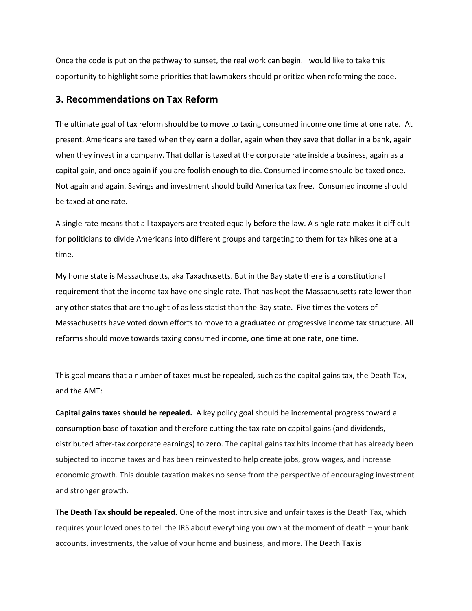Once the code is put on the pathway to sunset, the real work can begin. I would like to take this opportunity to highlight some priorities that lawmakers should prioritize when reforming the code.

## **3. Recommendations on Tax Reform**

The ultimate goal of tax reform should be to move to taxing consumed income one time at one rate. At present, Americans are taxed when they earn a dollar, again when they save that dollar in a bank, again when they invest in a company. That dollar is taxed at the corporate rate inside a business, again as a capital gain, and once again if you are foolish enough to die. Consumed income should be taxed once. Not again and again. Savings and investment should build America tax free. Consumed income should be taxed at one rate.

A single rate means that all taxpayers are treated equally before the law. A single rate makes it difficult for politicians to divide Americans into different groups and targeting to them for tax hikes one at a time.

My home state is Massachusetts, aka Taxachusetts. But in the Bay state there is a constitutional requirement that the income tax have one single rate. That has kept the Massachusetts rate lower than any other states that are thought of as less statist than the Bay state. Five times the voters of Massachusetts have voted down efforts to move to a graduated or progressive income tax structure. All reforms should move towards taxing consumed income, one time at one rate, one time.

This goal means that a number of taxes must be repealed, such as the capital gains tax, the Death Tax, and the AMT:

**Capital gains taxes should be repealed.** A key policy goal should be incremental progress toward a consumption base of taxation and therefore cutting the tax rate on capital gains (and dividends, distributed after-tax corporate earnings) to zero. The capital gains tax hits income that has already been subjected to income taxes and has been reinvested to help create jobs, grow wages, and increase economic growth. This double taxation makes no sense from the perspective of encouraging investment and stronger growth.

**The Death Tax should be repealed.** One of the most intrusive and unfair taxes is the Death Tax, which requires your loved ones to tell the IRS about everything you own at the moment of death – your bank accounts, investments, the value of your home and business, and more. The Death Tax is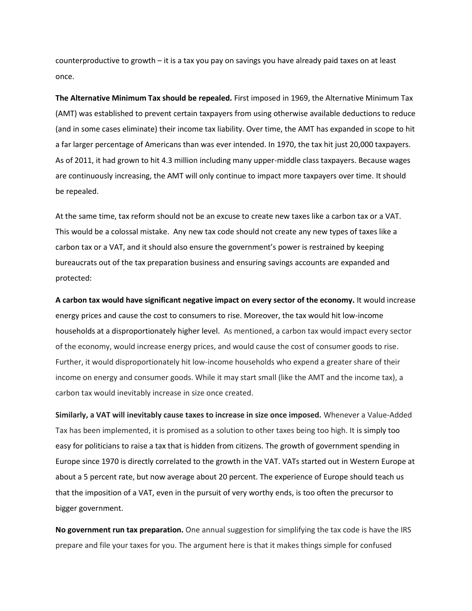counterproductive to growth – it is a tax you pay on savings you have already paid taxes on at least once.

**The Alternative Minimum Tax should be repealed.** First imposed in 1969, the Alternative Minimum Tax (AMT) was established to prevent certain taxpayers from using otherwise available deductions to reduce (and in some cases eliminate) their income tax liability. Over time, the AMT has expanded in scope to hit a far larger percentage of Americans than was ever intended. In 1970, the tax hit just 20,000 taxpayers. As of 2011, it had grown to hit 4.3 million including many upper-middle class taxpayers. Because wages are continuously increasing, the AMT will only continue to impact more taxpayers over time. It should be repealed.

At the same time, tax reform should not be an excuse to create new taxes like a carbon tax or a VAT. This would be a colossal mistake. Any new tax code should not create any new types of taxes like a carbon tax or a VAT, and it should also ensure the government's power is restrained by keeping bureaucrats out of the tax preparation business and ensuring savings accounts are expanded and protected:

**A carbon tax would have significant negative impact on every sector of the economy.** It would increase energy prices and cause the cost to consumers to rise. Moreover, the tax would hit low-income households at a disproportionately higher level. As mentioned, a carbon tax would impact every sector of the economy, would increase energy prices, and would cause the cost of consumer goods to rise. Further, it would disproportionately hit low-income households who expend a greater share of their income on energy and consumer goods. While it may start small (like the AMT and the income tax), a carbon tax would inevitably increase in size once created.

**Similarly, a VAT will inevitably cause taxes to increase in size once imposed.** Whenever a Value-Added Tax has been implemented, it is promised as a solution to other taxes being too high. It is simply too easy for politicians to raise a tax that is hidden from citizens. The growth of government spending in Europe since 1970 is directly correlated to the growth in the VAT. VATs started out in Western Europe at about a 5 percent rate, but now average about 20 percent. The experience of Europe should teach us that the imposition of a VAT, even in the pursuit of very worthy ends, is too often the precursor to bigger government.

**No government run tax preparation.** One annual suggestion for simplifying the tax code is have the IRS prepare and file your taxes for you. The argument here is that it makes things simple for confused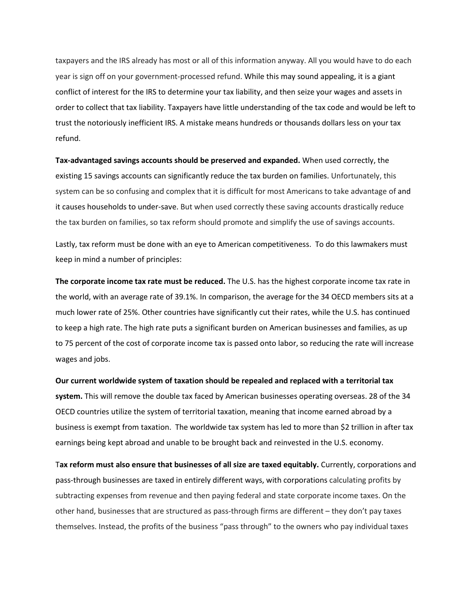taxpayers and the IRS already has most or all of this information anyway. All you would have to do each year is sign off on your government-processed refund. While this may sound appealing, it is a giant conflict of interest for the IRS to determine your tax liability, and then seize your wages and assets in order to collect that tax liability. Taxpayers have little understanding of the tax code and would be left to trust the notoriously inefficient IRS. A mistake means hundreds or thousands dollars less on your tax refund.

**Tax-advantaged savings accounts should be preserved and expanded.** When used correctly, the existing 15 savings accounts can significantly reduce the tax burden on families. Unfortunately, this system can be so confusing and complex that it is difficult for most Americans to take advantage of and it causes households to under-save. But when used correctly these saving accounts drastically reduce the tax burden on families, so tax reform should promote and simplify the use of savings accounts.

Lastly, tax reform must be done with an eye to American competitiveness. To do this lawmakers must keep in mind a number of principles:

**The corporate income tax rate must be reduced.** The U.S. has the highest corporate income tax rate in the world, with an average rate of 39.1%. In comparison, the average for the 34 OECD members sits at a much lower rate of 25%. Other countries have significantly cut their rates, while the U.S. has continued to keep a high rate. The high rate puts a significant burden on American businesses and families, as up to 75 percent of the cost of corporate income tax is passed onto labor, so reducing the rate will increase wages and jobs.

**Our current worldwide system of taxation should be repealed and replaced with a territorial tax system.** This will remove the double tax faced by American businesses operating overseas. 28 of the 34 OECD countries utilize the system of territorial taxation, meaning that income earned abroad by a business is exempt from taxation. The worldwide tax system has led to more than \$2 trillion in after tax earnings being kept abroad and unable to be brought back and reinvested in the U.S. economy.

T**ax reform must also ensure that businesses of all size are taxed equitably.** Currently, corporations and pass-through businesses are taxed in entirely different ways, with corporations calculating profits by subtracting expenses from revenue and then paying federal and state corporate income taxes. On the other hand, businesses that are structured as pass-through firms are different – they don't pay taxes themselves. Instead, the profits of the business "pass through" to the owners who pay individual taxes